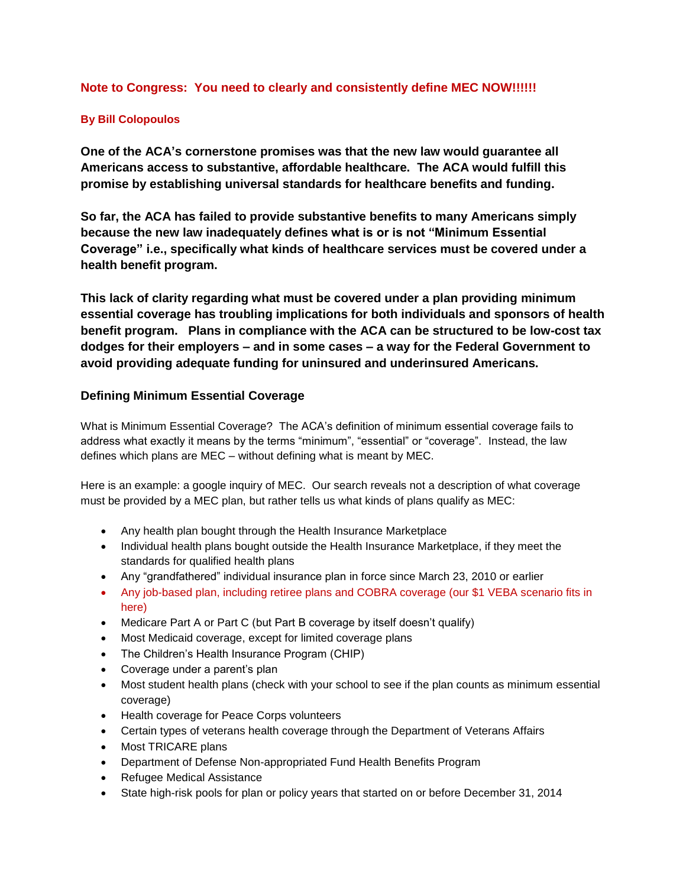# **Note to Congress: You need to clearly and consistently define MEC NOW!!!!!!**

## **By Bill Colopoulos**

**One of the ACA's cornerstone promises was that the new law would guarantee all Americans access to substantive, affordable healthcare. The ACA would fulfill this promise by establishing universal standards for healthcare benefits and funding.**

**So far, the ACA has failed to provide substantive benefits to many Americans simply because the new law inadequately defines what is or is not "Minimum Essential Coverage" i.e., specifically what kinds of healthcare services must be covered under a health benefit program.**

**This lack of clarity regarding what must be covered under a plan providing minimum essential coverage has troubling implications for both individuals and sponsors of health benefit program. Plans in compliance with the ACA can be structured to be low-cost tax dodges for their employers – and in some cases – a way for the Federal Government to avoid providing adequate funding for uninsured and underinsured Americans.** 

# **Defining Minimum Essential Coverage**

What is Minimum Essential Coverage? The ACA's definition of minimum essential coverage fails to address what exactly it means by the terms "minimum", "essential" or "coverage". Instead, the law defines which plans are MEC – without defining what is meant by MEC.

Here is an example: a google inquiry of MEC. Our search reveals not a description of what coverage must be provided by a MEC plan, but rather tells us what kinds of plans qualify as MEC:

- Any health plan bought through the Health Insurance Marketplace
- Individual health plans bought outside the Health Insurance Marketplace, if they meet the standards for [qualified health plans](https://www.healthcare.gov/glossary/qualified-health-plan)
- Any "grandfathered" individual insurance plan in force since March 23, 2010 or earlier
- [Any job-based plan,](https://www.healthcare.gov/have-job-based-coverage/) including [retiree plans](https://www.healthcare.gov/retirees/) and [COBRA coverage](https://www.healthcare.gov/unemployed/cobra-coverage/) (our \$1 VEBA scenario fits in here)
- [Medicare Part A or Part C](https://www.healthcare.gov/medicare/) (but Part B coverage by itself doesn't qualify)
- [Most Medicaid coverage,](https://www.healthcare.gov/medicaid-chip/) except for [limited coverage plans](https://www.healthcare.gov/medicaid-chip/getting-medicaid-chip/#limitedbenefits)
- [The Children's Health Insurance Program \(CHIP\)](https://www.healthcare.gov/medicaid-chip/childrens-health-insurance-program/)
- [Coverage under a parent's plan](https://www.healthcare.gov/young-adults/children-under-26/)
- [Most student health plans](https://www.healthcare.gov/young-adults/college-students/) (check with your school to see if the plan counts as minimum essential coverage)
- Health coverage for Peace Corps volunteers
- [Certain types of veterans health coverage through the Department of Veterans Affairs](http://www.va.gov/health/aca/EnrolledVeterans.asp)
- [Most TRICARE plans](http://www.tricare.mil/About/MEC.aspx)
- [Department of Defense Non-appropriated Fund Health Benefits Program](https://www.usafservices.com/NAFInsuranceBenefits/MedicalDental.aspx)
- [Refugee Medical Assistance](http://www.acf.hhs.gov/programs/orr/programs/cma/about)
- [State high-risk pools](https://www.healthcare.gov/glossary/high-risk-pool-plan-state) for plan or policy years that started on or before December 31, 2014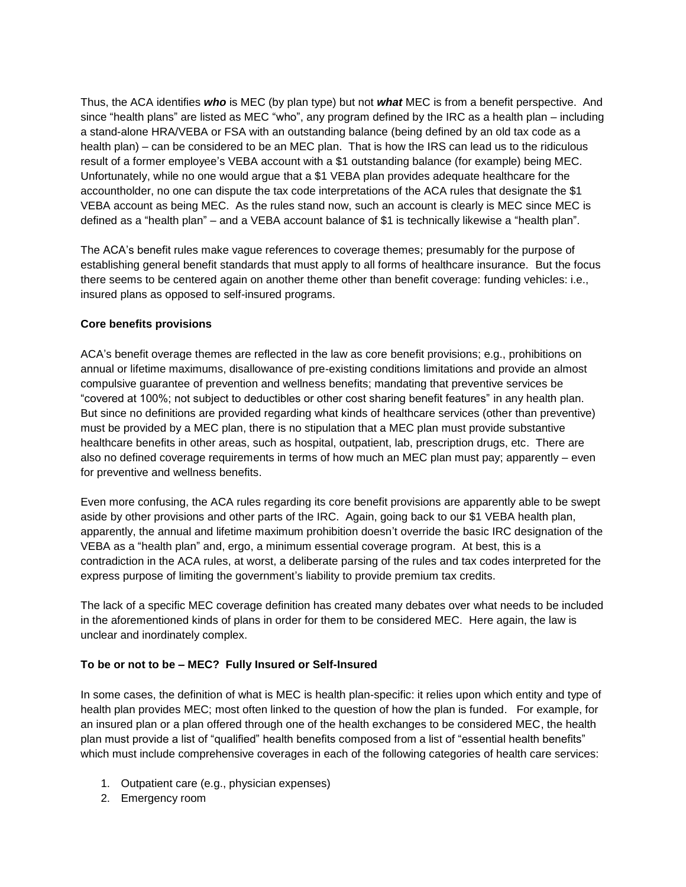Thus, the ACA identifies *who* is MEC (by plan type) but not *what* MEC is from a benefit perspective. And since "health plans" are listed as MEC "who", any program defined by the IRC as a health plan – including a stand-alone HRA/VEBA or FSA with an outstanding balance (being defined by an old tax code as a health plan) – can be considered to be an MEC plan. That is how the IRS can lead us to the ridiculous result of a former employee's VEBA account with a \$1 outstanding balance (for example) being MEC. Unfortunately, while no one would argue that a \$1 VEBA plan provides adequate healthcare for the accountholder, no one can dispute the tax code interpretations of the ACA rules that designate the \$1 VEBA account as being MEC. As the rules stand now, such an account is clearly is MEC since MEC is defined as a "health plan" – and a VEBA account balance of \$1 is technically likewise a "health plan".

The ACA's benefit rules make vague references to coverage themes; presumably for the purpose of establishing general benefit standards that must apply to all forms of healthcare insurance. But the focus there seems to be centered again on another theme other than benefit coverage: funding vehicles: i.e., insured plans as opposed to self-insured programs.

### **Core benefits provisions**

ACA's benefit overage themes are reflected in the law as core benefit provisions; e.g., prohibitions on annual or lifetime maximums, disallowance of pre-existing conditions limitations and provide an almost compulsive guarantee of prevention and wellness benefits; mandating that preventive services be "covered at 100%; not subject to deductibles or other cost sharing benefit features" in any health plan. But since no definitions are provided regarding what kinds of healthcare services (other than preventive) must be provided by a MEC plan, there is no stipulation that a MEC plan must provide substantive healthcare benefits in other areas, such as hospital, outpatient, lab, prescription drugs, etc. There are also no defined coverage requirements in terms of how much an MEC plan must pay; apparently – even for preventive and wellness benefits.

Even more confusing, the ACA rules regarding its core benefit provisions are apparently able to be swept aside by other provisions and other parts of the IRC. Again, going back to our \$1 VEBA health plan, apparently, the annual and lifetime maximum prohibition doesn't override the basic IRC designation of the VEBA as a "health plan" and, ergo, a minimum essential coverage program. At best, this is a contradiction in the ACA rules, at worst, a deliberate parsing of the rules and tax codes interpreted for the express purpose of limiting the government's liability to provide premium tax credits.

The lack of a specific MEC coverage definition has created many debates over what needs to be included in the aforementioned kinds of plans in order for them to be considered MEC. Here again, the law is unclear and inordinately complex.

### **To be or not to be – MEC? Fully Insured or Self-Insured**

In some cases, the definition of what is MEC is health plan-specific: it relies upon which entity and type of health plan provides MEC; most often linked to the question of how the plan is funded. For example, for an insured plan or a plan offered through one of the health exchanges to be considered MEC, the health plan must provide a list of "qualified" health benefits composed from a list of "essential health benefits" which must include comprehensive coverages in each of the following categories of health care services:

- 1. Outpatient care (e.g., physician expenses)
- 2. Emergency room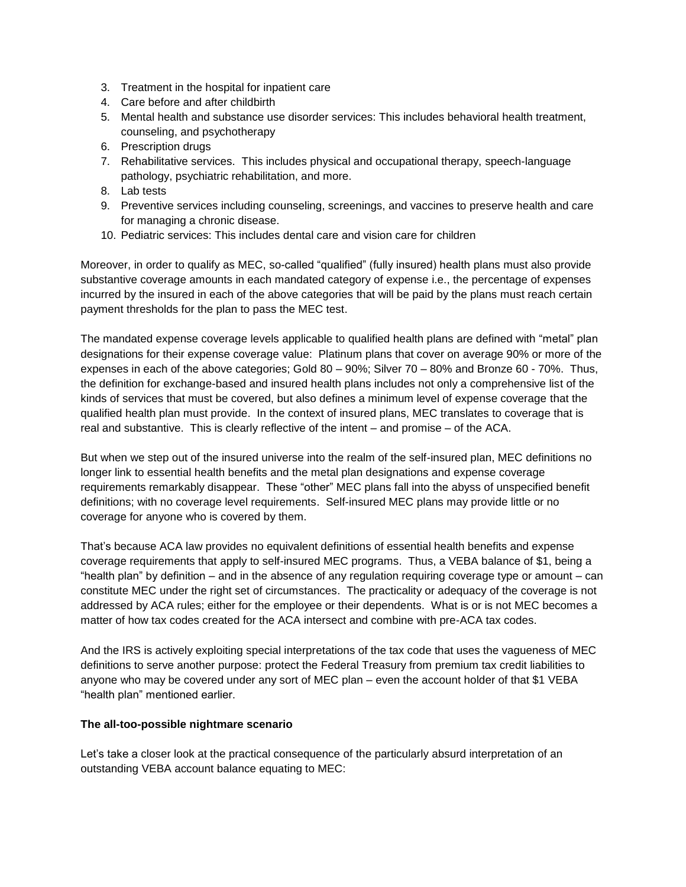- 3. Treatment in the hospital for inpatient care
- 4. Care before and after childbirth
- 5. Mental health and substance use disorder services: This includes behavioral health treatment, counseling, and psychotherapy
- 6. Prescription drugs
- 7. Rehabilitative services. This includes physical and occupational therapy, speech-language pathology, psychiatric rehabilitation, and more.
- 8. Lab tests
- 9. Preventive services including [counseling, screenings, and vaccines to preserve](https://www.healthcare.gov/what-are-my-preventive-care-benefits) health and care for managing a chronic disease.
- 10. Pediatric services: This includes dental care and vision care for children

Moreover, in order to qualify as MEC, so-called "qualified" (fully insured) health plans must also provide substantive coverage amounts in each mandated category of expense i.e., the percentage of expenses incurred by the insured in each of the above categories that will be paid by the plans must reach certain payment thresholds for the plan to pass the MEC test.

The mandated expense coverage levels applicable to qualified health plans are defined with "metal" plan designations for their expense coverage value: Platinum plans that cover on average 90% or more of the expenses in each of the above categories; Gold 80 – 90%; Silver 70 – 80% and Bronze 60 - 70%. Thus, the definition for exchange-based and insured health plans includes not only a comprehensive list of the kinds of services that must be covered, but also defines a minimum level of expense coverage that the qualified health plan must provide. In the context of insured plans, MEC translates to coverage that is real and substantive. This is clearly reflective of the intent – and promise – of the ACA.

But when we step out of the insured universe into the realm of the self-insured plan, MEC definitions no longer link to essential health benefits and the metal plan designations and expense coverage requirements remarkably disappear. These "other" MEC plans fall into the abyss of unspecified benefit definitions; with no coverage level requirements. Self-insured MEC plans may provide little or no coverage for anyone who is covered by them.

That's because ACA law provides no equivalent definitions of essential health benefits and expense coverage requirements that apply to self-insured MEC programs. Thus, a VEBA balance of \$1, being a "health plan" by definition – and in the absence of any regulation requiring coverage type or amount – can constitute MEC under the right set of circumstances. The practicality or adequacy of the coverage is not addressed by ACA rules; either for the employee or their dependents. What is or is not MEC becomes a matter of how tax codes created for the ACA intersect and combine with pre-ACA tax codes.

And the IRS is actively exploiting special interpretations of the tax code that uses the vagueness of MEC definitions to serve another purpose: protect the Federal Treasury from premium tax credit liabilities to anyone who may be covered under any sort of MEC plan – even the account holder of that \$1 VEBA "health plan" mentioned earlier.

#### **The all-too-possible nightmare scenario**

Let's take a closer look at the practical consequence of the particularly absurd interpretation of an outstanding VEBA account balance equating to MEC: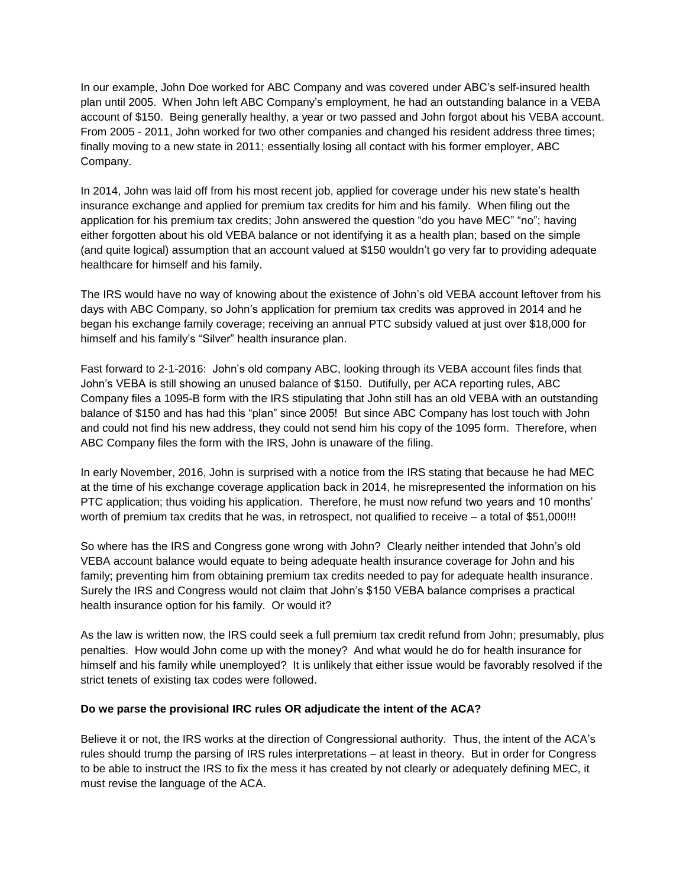In our example, John Doe worked for ABC Company and was covered under ABC's self-insured health plan until 2005. When John left ABC Company's employment, he had an outstanding balance in a VEBA account of \$150. Being generally healthy, a year or two passed and John forgot about his VEBA account. From 2005 - 2011, John worked for two other companies and changed his resident address three times; finally moving to a new state in 2011; essentially losing all contact with his former employer, ABC Company.

In 2014, John was laid off from his most recent job, applied for coverage under his new state's health insurance exchange and applied for premium tax credits for him and his family. When filing out the application for his premium tax credits; John answered the question "do you have MEC" "no"; having either forgotten about his old VEBA balance or not identifying it as a health plan; based on the simple (and quite logical) assumption that an account valued at \$150 wouldn't go very far to providing adequate healthcare for himself and his family.

The IRS would have no way of knowing about the existence of John's old VEBA account leftover from his days with ABC Company, so John's application for premium tax credits was approved in 2014 and he began his exchange family coverage; receiving an annual PTC subsidy valued at just over \$18,000 for himself and his family's "Silver" health insurance plan.

Fast forward to 2-1-2016: John's old company ABC, looking through its VEBA account files finds that John's VEBA is still showing an unused balance of \$150. Dutifully, per ACA reporting rules, ABC Company files a 1095-B form with the IRS stipulating that John still has an old VEBA with an outstanding balance of \$150 and has had this "plan" since 2005! But since ABC Company has lost touch with John and could not find his new address, they could not send him his copy of the 1095 form. Therefore, when ABC Company files the form with the IRS, John is unaware of the filing.

In early November, 2016, John is surprised with a notice from the IRS stating that because he had MEC at the time of his exchange coverage application back in 2014, he misrepresented the information on his PTC application; thus voiding his application. Therefore, he must now refund two years and 10 months' worth of premium tax credits that he was, in retrospect, not qualified to receive – a total of \$51,000!!!

So where has the IRS and Congress gone wrong with John? Clearly neither intended that John's old VEBA account balance would equate to being adequate health insurance coverage for John and his family; preventing him from obtaining premium tax credits needed to pay for adequate health insurance. Surely the IRS and Congress would not claim that John's \$150 VEBA balance comprises a practical health insurance option for his family. Or would it?

As the law is written now, the IRS could seek a full premium tax credit refund from John; presumably, plus penalties. How would John come up with the money? And what would he do for health insurance for himself and his family while unemployed? It is unlikely that either issue would be favorably resolved if the strict tenets of existing tax codes were followed.

#### **Do we parse the provisional IRC rules OR adjudicate the intent of the ACA?**

Believe it or not, the IRS works at the direction of Congressional authority. Thus, the intent of the ACA's rules should trump the parsing of IRS rules interpretations – at least in theory. But in order for Congress to be able to instruct the IRS to fix the mess it has created by not clearly or adequately defining MEC, it must revise the language of the ACA.